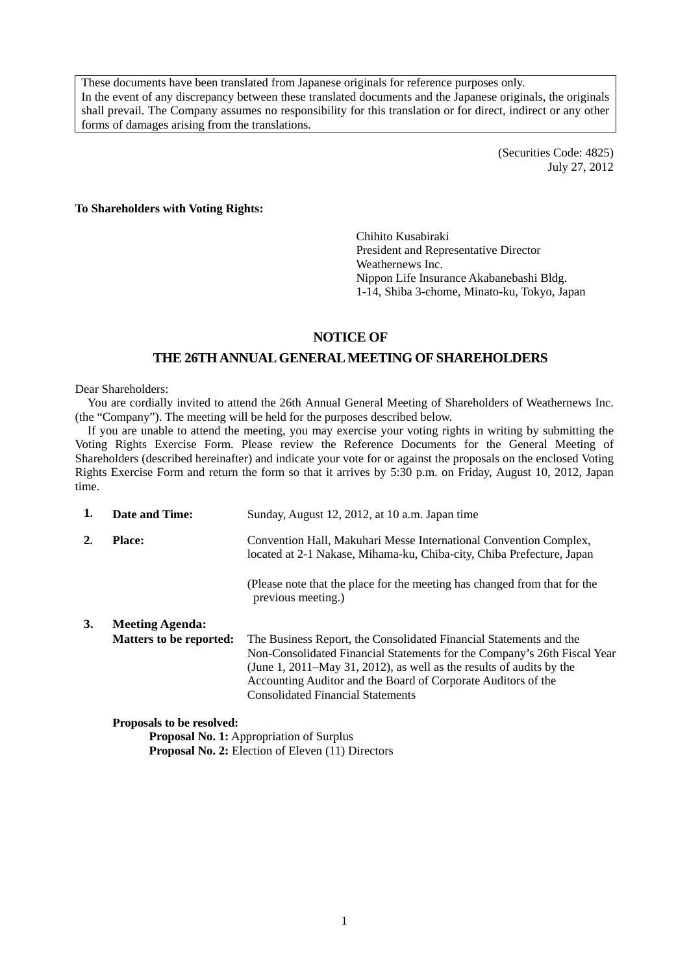These documents have been translated from Japanese originals for reference purposes only. In the event of any discrepancy between these translated documents and the Japanese originals, the originals shall prevail. The Company assumes no responsibility for this translation or for direct, indirect or any other forms of damages arising from the translations.

> (Securities Code: 4825) July 27, 2012

#### **To Shareholders with Voting Rights:**

Chihito Kusabiraki President and Representative Director Weathernews Inc. Nippon Life Insurance Akabanebashi Bldg. 1-14, Shiba 3-chome, Minato-ku, Tokyo, Japan

## **NOTICE OF**

## **THE 26TH ANNUAL GENERAL MEETING OF SHAREHOLDERS**

#### Dear Shareholders:

You are cordially invited to attend the 26th Annual General Meeting of Shareholders of Weathernews Inc. (the "Company"). The meeting will be held for the purposes described below.

If you are unable to attend the meeting, you may exercise your voting rights in writing by submitting the Voting Rights Exercise Form. Please review the Reference Documents for the General Meeting of Shareholders (described hereinafter) and indicate your vote for or against the proposals on the enclosed Voting Rights Exercise Form and return the form so that it arrives by 5:30 p.m. on Friday, August 10, 2012, Japan time.

| 1. | Date and Time:                 | Sunday, August 12, 2012, at 10 a.m. Japan time                                                                                                                                                                                                                                                                                                                                              |  |  |  |
|----|--------------------------------|---------------------------------------------------------------------------------------------------------------------------------------------------------------------------------------------------------------------------------------------------------------------------------------------------------------------------------------------------------------------------------------------|--|--|--|
| 2. | <b>Place:</b>                  | Convention Hall, Makuhari Messe International Convention Complex,<br>located at 2-1 Nakase, Mihama-ku, Chiba-city, Chiba Prefecture, Japan<br>(Please note that the place for the meeting has changed from that for the<br>previous meeting.)<br>The Business Report, the Consolidated Financial Statements and the<br>(June 1, 2011–May 31, 2012), as well as the results of audits by the |  |  |  |
|    |                                |                                                                                                                                                                                                                                                                                                                                                                                             |  |  |  |
| 3. | <b>Meeting Agenda:</b>         |                                                                                                                                                                                                                                                                                                                                                                                             |  |  |  |
|    | <b>Matters to be reported:</b> | Non-Consolidated Financial Statements for the Company's 26th Fiscal Year<br>Accounting Auditor and the Board of Corporate Auditors of the<br><b>Consolidated Financial Statements</b>                                                                                                                                                                                                       |  |  |  |

#### **Proposals to be resolved:**

**Proposal No. 1:** Appropriation of Surplus **Proposal No. 2:** Election of Eleven (11) Directors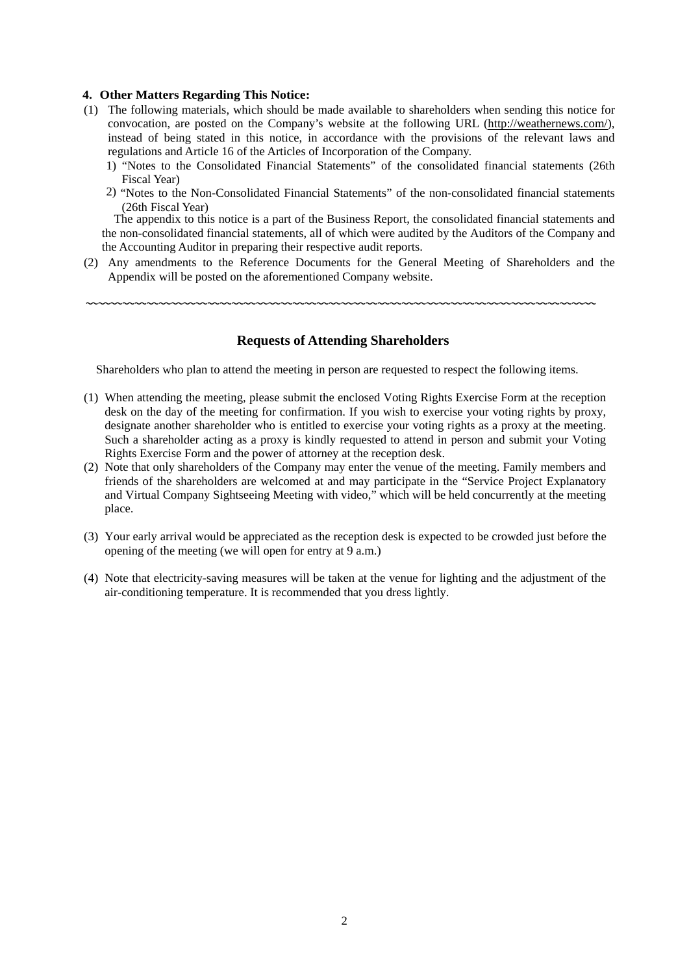#### **4. Other Matters Regarding This Notice:**

- (1) The following materials, which should be made available to shareholders when sending this notice for convocation, are posted on the Company's website at the following URL (http://weathernews.com/), instead of being stated in this notice, in accordance with the provisions of the relevant laws and regulations and Article 16 of the Articles of Incorporation of the Company.
	- 1) "Notes to the Consolidated Financial Statements" of the consolidated financial statements (26th Fiscal Year)
	- 2) "Notes to the Non-Consolidated Financial Statements" of the non-consolidated financial statements (26th Fiscal Year)

The appendix to this notice is a part of the Business Report, the consolidated financial statements and the non-consolidated financial statements, all of which were audited by the Auditors of the Company and the Accounting Auditor in preparing their respective audit reports.

(2) Any amendments to the Reference Documents for the General Meeting of Shareholders and the Appendix will be posted on the aforementioned Company website.

#### **Requests of Attending Shareholders**

〰〰〰〰〰〰〰〰〰〰〰〰〰〰〰〰〰〰〰〰〰〰〰〰〰〰〰〰〰〰〰〰〰〰〰〰〰〰〰〰〰〰

Shareholders who plan to attend the meeting in person are requested to respect the following items.

- (1) When attending the meeting, please submit the enclosed Voting Rights Exercise Form at the reception desk on the day of the meeting for confirmation. If you wish to exercise your voting rights by proxy, designate another shareholder who is entitled to exercise your voting rights as a proxy at the meeting. Such a shareholder acting as a proxy is kindly requested to attend in person and submit your Voting Rights Exercise Form and the power of attorney at the reception desk.
- (2) Note that only shareholders of the Company may enter the venue of the meeting. Family members and friends of the shareholders are welcomed at and may participate in the "Service Project Explanatory and Virtual Company Sightseeing Meeting with video," which will be held concurrently at the meeting place.
- (3) Your early arrival would be appreciated as the reception desk is expected to be crowded just before the opening of the meeting (we will open for entry at 9 a.m.)
- (4) Note that electricity-saving measures will be taken at the venue for lighting and the adjustment of the air-conditioning temperature. It is recommended that you dress lightly.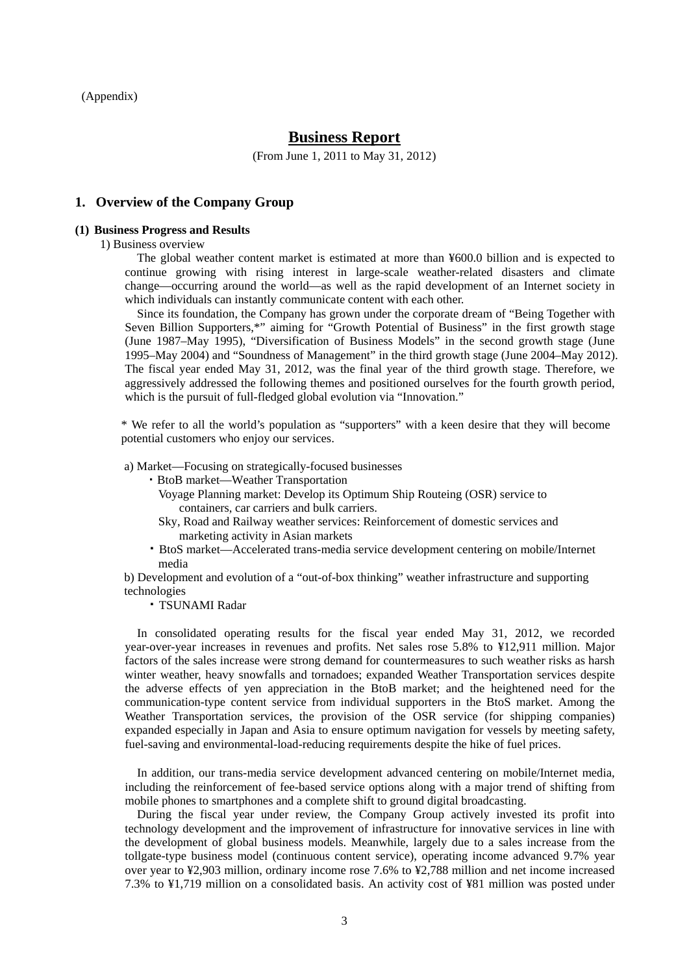(Appendix)

## **Business Report**

(From June 1, 2011 to May 31, 2012)

## **1. Overview of the Company Group**

#### **(1) Business Progress and Results**

1) Business overview

The global weather content market is estimated at more than ¥600.0 billion and is expected to continue growing with rising interest in large-scale weather-related disasters and climate change—occurring around the world—as well as the rapid development of an Internet society in which individuals can instantly communicate content with each other.

Since its foundation, the Company has grown under the corporate dream of "Being Together with Seven Billion Supporters,\*" aiming for "Growth Potential of Business" in the first growth stage (June 1987–May 1995), "Diversification of Business Models" in the second growth stage (June 1995–May 2004) and "Soundness of Management" in the third growth stage (June 2004–May 2012). The fiscal year ended May 31, 2012, was the final year of the third growth stage. Therefore, we aggressively addressed the following themes and positioned ourselves for the fourth growth period, which is the pursuit of full-fledged global evolution via "Innovation."

\* We refer to all the world's population as "supporters" with a keen desire that they will become potential customers who enjoy our services.

a) Market—Focusing on strategically-focused businesses

・BtoB market—Weather Transportation

- Voyage Planning market: Develop its Optimum Ship Routeing (OSR) service to containers, car carriers and bulk carriers.
- Sky, Road and Railway weather services: Reinforcement of domestic services and marketing activity in Asian markets
- ・BtoS market—Accelerated trans-media service development centering on mobile/Internet media

b) Development and evolution of a "out-of-box thinking" weather infrastructure and supporting technologies

・TSUNAMI Radar

In consolidated operating results for the fiscal year ended May 31, 2012, we recorded year-over-year increases in revenues and profits. Net sales rose 5.8% to ¥12,911 million. Major factors of the sales increase were strong demand for countermeasures to such weather risks as harsh winter weather, heavy snowfalls and tornadoes; expanded Weather Transportation services despite the adverse effects of yen appreciation in the BtoB market; and the heightened need for the communication-type content service from individual supporters in the BtoS market. Among the Weather Transportation services, the provision of the OSR service (for shipping companies) expanded especially in Japan and Asia to ensure optimum navigation for vessels by meeting safety, fuel-saving and environmental-load-reducing requirements despite the hike of fuel prices.

In addition, our trans-media service development advanced centering on mobile/Internet media, including the reinforcement of fee-based service options along with a major trend of shifting from mobile phones to smartphones and a complete shift to ground digital broadcasting.

During the fiscal year under review, the Company Group actively invested its profit into technology development and the improvement of infrastructure for innovative services in line with the development of global business models. Meanwhile, largely due to a sales increase from the tollgate-type business model (continuous content service), operating income advanced 9.7% year over year to ¥2,903 million, ordinary income rose 7.6% to ¥2,788 million and net income increased 7.3% to ¥1,719 million on a consolidated basis. An activity cost of ¥81 million was posted under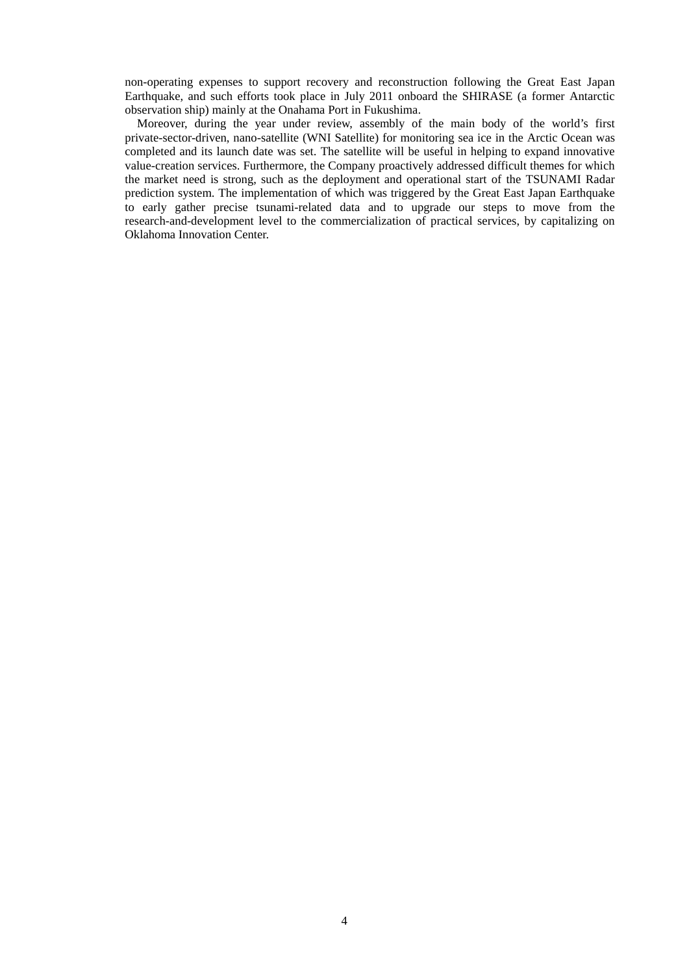non-operating expenses to support recovery and reconstruction following the Great East Japan Earthquake, and such efforts took place in July 2011 onboard the SHIRASE (a former Antarctic observation ship) mainly at the Onahama Port in Fukushima.

Moreover, during the year under review, assembly of the main body of the world's first private-sector-driven, nano-satellite (WNI Satellite) for monitoring sea ice in the Arctic Ocean was completed and its launch date was set. The satellite will be useful in helping to expand innovative value-creation services. Furthermore, the Company proactively addressed difficult themes for which the market need is strong, such as the deployment and operational start of the TSUNAMI Radar prediction system. The implementation of which was triggered by the Great East Japan Earthquake to early gather precise tsunami-related data and to upgrade our steps to move from the research-and-development level to the commercialization of practical services, by capitalizing on Oklahoma Innovation Center.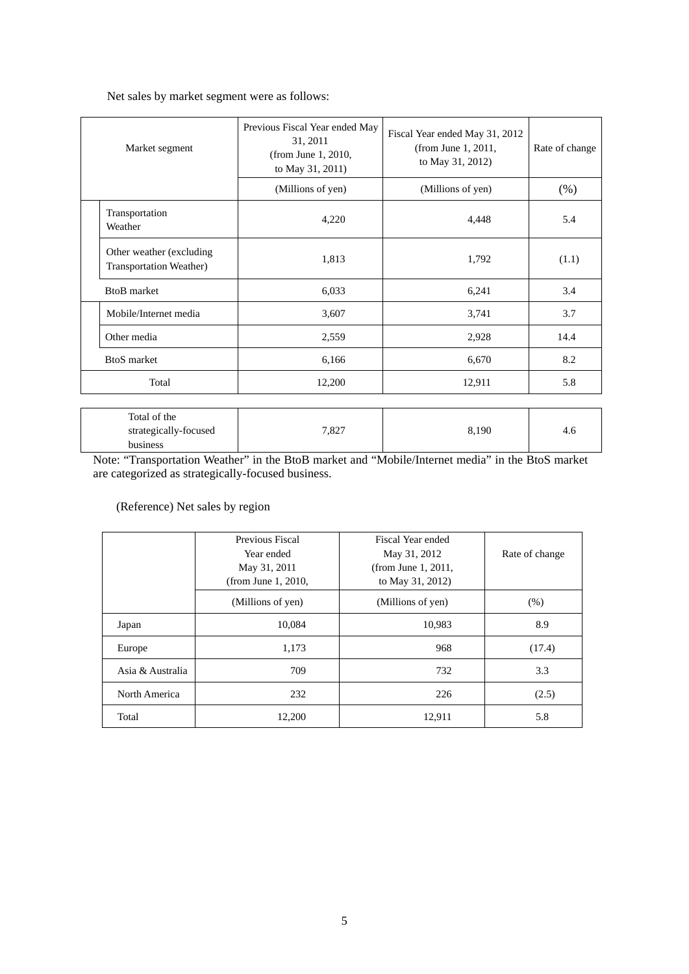Net sales by market segment were as follows:

| Market segment                                              | Previous Fiscal Year ended May<br>31, 2011<br>(from June 1, 2010,<br>to May 31, 2011) | Fiscal Year ended May 31, 2012<br>(from June 1, 2011,<br>to May 31, 2012) | Rate of change |
|-------------------------------------------------------------|---------------------------------------------------------------------------------------|---------------------------------------------------------------------------|----------------|
|                                                             | (Millions of yen)                                                                     | (Millions of yen)                                                         | (% )           |
| Transportation<br>Weather                                   | 4,220                                                                                 | 4,448                                                                     | 5.4            |
| Other weather (excluding)<br><b>Transportation Weather)</b> | 1,813                                                                                 | 1,792                                                                     | (1.1)          |
| <b>BtoB</b> market                                          | 6,033                                                                                 | 6,241                                                                     | 3.4            |
| Mobile/Internet media                                       | 3,607                                                                                 | 3,741                                                                     | 3.7            |
| Other media                                                 | 2,559                                                                                 | 2,928                                                                     | 14.4           |
| <b>BtoS</b> market                                          | 6,166                                                                                 | 6,670                                                                     | 8.2            |
| Total                                                       | 12,200                                                                                | 12,911                                                                    | 5.8            |

| Total of the          |       |       |       |
|-----------------------|-------|-------|-------|
| strategically-focused | 7,827 | 8,190 | - 4.u |
| business              |       |       |       |

Note: "Transportation Weather" in the BtoB market and "Mobile/Internet media" in the BtoS market are categorized as strategically-focused business.

(Reference) Net sales by region

|                  | Previous Fiscal<br>Year ended<br>May 31, 2011<br>(from June 1, 2010, | Fiscal Year ended<br>May 31, 2012<br>(from June 1, 2011,<br>to May 31, 2012) | Rate of change |
|------------------|----------------------------------------------------------------------|------------------------------------------------------------------------------|----------------|
|                  | (Millions of yen)                                                    | (Millions of yen)                                                            | (% )           |
| Japan            | 10.084                                                               | 10,983                                                                       | 8.9            |
| Europe           | 1,173                                                                | 968                                                                          | (17.4)         |
| Asia & Australia | 709                                                                  | 732                                                                          | 3.3            |
| North America    | 232                                                                  | 226                                                                          | (2.5)          |
| Total            | 12,200                                                               | 12,911                                                                       | 5.8            |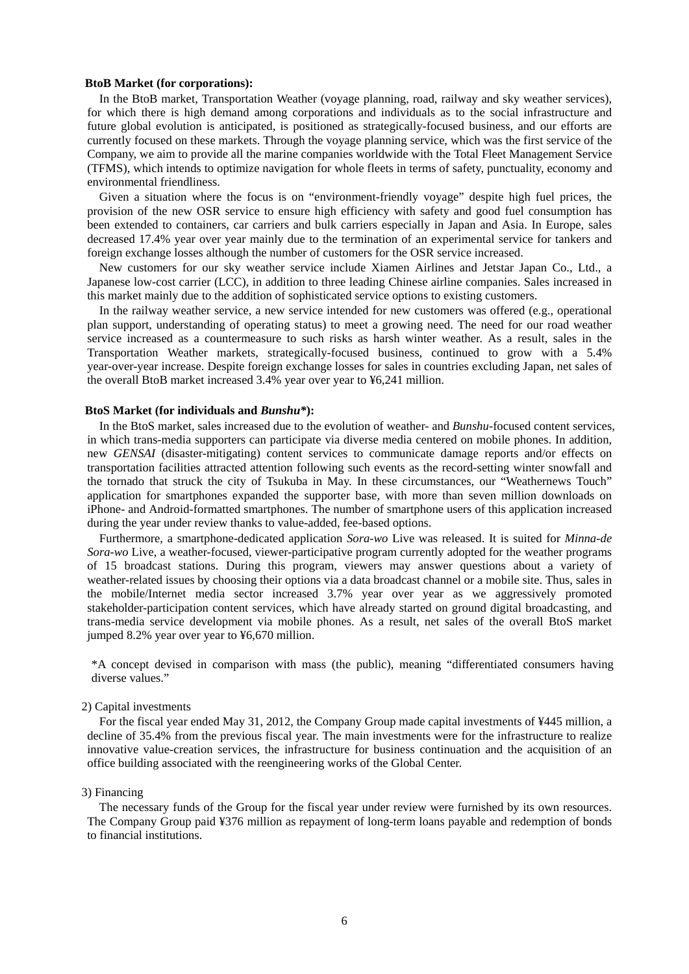#### **BtoB Market (for corporations):**

In the BtoB market, Transportation Weather (voyage planning, road, railway and sky weather services), for which there is high demand among corporations and individuals as to the social infrastructure and future global evolution is anticipated, is positioned as strategically-focused business, and our efforts are currently focused on these markets. Through the voyage planning service, which was the first service of the Company, we aim to provide all the marine companies worldwide with the Total Fleet Management Service (TFMS), which intends to optimize navigation for whole fleets in terms of safety, punctuality, economy and environmental friendliness.

Given a situation where the focus is on "environment-friendly voyage" despite high fuel prices, the provision of the new OSR service to ensure high efficiency with safety and good fuel consumption has been extended to containers, car carriers and bulk carriers especially in Japan and Asia. In Europe, sales decreased 17.4% year over year mainly due to the termination of an experimental service for tankers and foreign exchange losses although the number of customers for the OSR service increased.

New customers for our sky weather service include Xiamen Airlines and Jetstar Japan Co., Ltd., a Japanese low-cost carrier (LCC), in addition to three leading Chinese airline companies. Sales increased in this market mainly due to the addition of sophisticated service options to existing customers.

In the railway weather service, a new service intended for new customers was offered (e.g., operational plan support, understanding of operating status) to meet a growing need. The need for our road weather service increased as a countermeasure to such risks as harsh winter weather. As a result, sales in the Transportation Weather markets, strategically-focused business, continued to grow with a 5.4% year-over-year increase. Despite foreign exchange losses for sales in countries excluding Japan, net sales of the overall BtoB market increased 3.4% year over year to ¥6,241 million.

#### **BtoS Market (for individuals and** *Bunshu\****):**

In the BtoS market, sales increased due to the evolution of weather- and *Bunshu*-focused content services, in which trans-media supporters can participate via diverse media centered on mobile phones. In addition, new *GENSAI* (disaster-mitigating) content services to communicate damage reports and/or effects on transportation facilities attracted attention following such events as the record-setting winter snowfall and the tornado that struck the city of Tsukuba in May. In these circumstances, our "Weathernews Touch" application for smartphones expanded the supporter base, with more than seven million downloads on iPhone- and Android-formatted smartphones. The number of smartphone users of this application increased during the year under review thanks to value-added, fee-based options.

Furthermore, a smartphone-dedicated application *Sora-wo* Live was released. It is suited for *Minna-de Sora-wo* Live, a weather-focused, viewer-participative program currently adopted for the weather programs of 15 broadcast stations. During this program, viewers may answer questions about a variety of weather-related issues by choosing their options via a data broadcast channel or a mobile site. Thus, sales in the mobile/Internet media sector increased 3.7% year over year as we aggressively promoted stakeholder-participation content services, which have already started on ground digital broadcasting, and trans-media service development via mobile phones. As a result, net sales of the overall BtoS market jumped 8.2% year over year to ¥6,670 million.

\*A concept devised in comparison with mass (the public), meaning "differentiated consumers having diverse values."

#### 2) Capital investments

For the fiscal year ended May 31, 2012, the Company Group made capital investments of ¥445 million, a decline of 35.4% from the previous fiscal year. The main investments were for the infrastructure to realize innovative value-creation services, the infrastructure for business continuation and the acquisition of an office building associated with the reengineering works of the Global Center.

### 3) Financing

The necessary funds of the Group for the fiscal year under review were furnished by its own resources. The Company Group paid ¥376 million as repayment of long-term loans payable and redemption of bonds to financial institutions.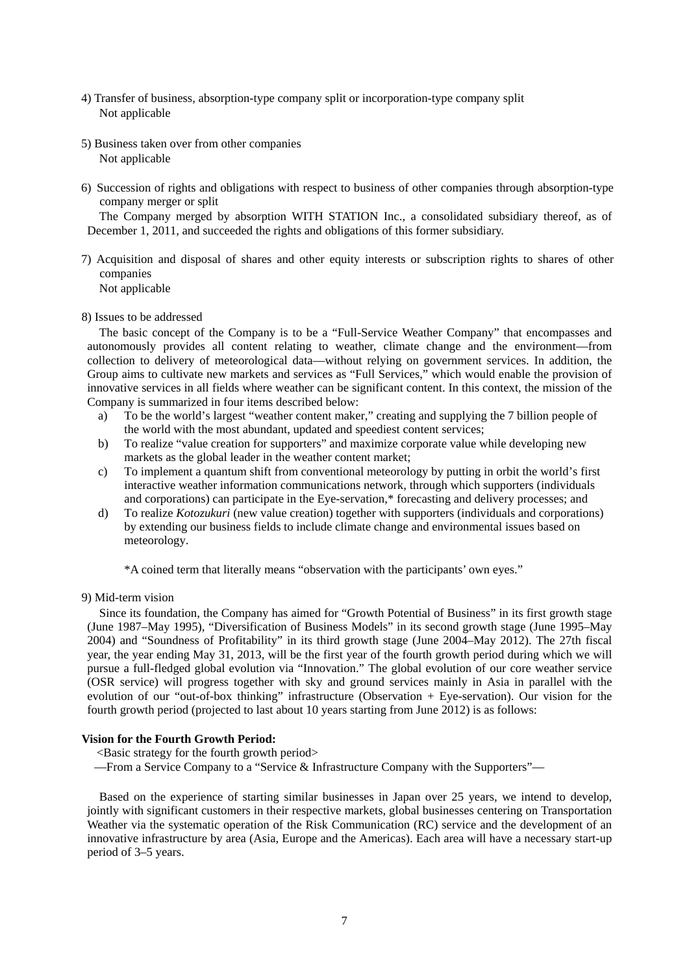- 4) Transfer of business, absorption-type company split or incorporation-type company split Not applicable
- 5) Business taken over from other companies Not applicable
- 6) Succession of rights and obligations with respect to business of other companies through absorption-type company merger or split

The Company merged by absorption WITH STATION Inc., a consolidated subsidiary thereof, as of December 1, 2011, and succeeded the rights and obligations of this former subsidiary.

7) Acquisition and disposal of shares and other equity interests or subscription rights to shares of other companies

Not applicable

8) Issues to be addressed

The basic concept of the Company is to be a "Full-Service Weather Company" that encompasses and autonomously provides all content relating to weather, climate change and the environment—from collection to delivery of meteorological data—without relying on government services. In addition, the Group aims to cultivate new markets and services as "Full Services," which would enable the provision of innovative services in all fields where weather can be significant content. In this context, the mission of the Company is summarized in four items described below:

- a) To be the world's largest "weather content maker," creating and supplying the 7 billion people of the world with the most abundant, updated and speediest content services;
- b) To realize "value creation for supporters" and maximize corporate value while developing new markets as the global leader in the weather content market;
- c) To implement a quantum shift from conventional meteorology by putting in orbit the world's first interactive weather information communications network, through which supporters (individuals and corporations) can participate in the Eye-servation,\* forecasting and delivery processes; and
- d) To realize *Kotozukuri* (new value creation) together with supporters (individuals and corporations) by extending our business fields to include climate change and environmental issues based on meteorology.

\*A coined term that literally means "observation with the participants' own eyes."

9) Mid-term vision

Since its foundation, the Company has aimed for "Growth Potential of Business" in its first growth stage (June 1987–May 1995), "Diversification of Business Models" in its second growth stage (June 1995–May 2004) and "Soundness of Profitability" in its third growth stage (June 2004–May 2012). The 27th fiscal year, the year ending May 31, 2013, will be the first year of the fourth growth period during which we will pursue a full-fledged global evolution via "Innovation." The global evolution of our core weather service (OSR service) will progress together with sky and ground services mainly in Asia in parallel with the evolution of our "out-of-box thinking" infrastructure (Observation + Eye-servation). Our vision for the fourth growth period (projected to last about 10 years starting from June 2012) is as follows:

#### **Vision for the Fourth Growth Period:**

<Basic strategy for the fourth growth period>

—From a Service Company to a "Service & Infrastructure Company with the Supporters"—

Based on the experience of starting similar businesses in Japan over 25 years, we intend to develop, jointly with significant customers in their respective markets, global businesses centering on Transportation Weather via the systematic operation of the Risk Communication (RC) service and the development of an innovative infrastructure by area (Asia, Europe and the Americas). Each area will have a necessary start-up period of 3–5 years.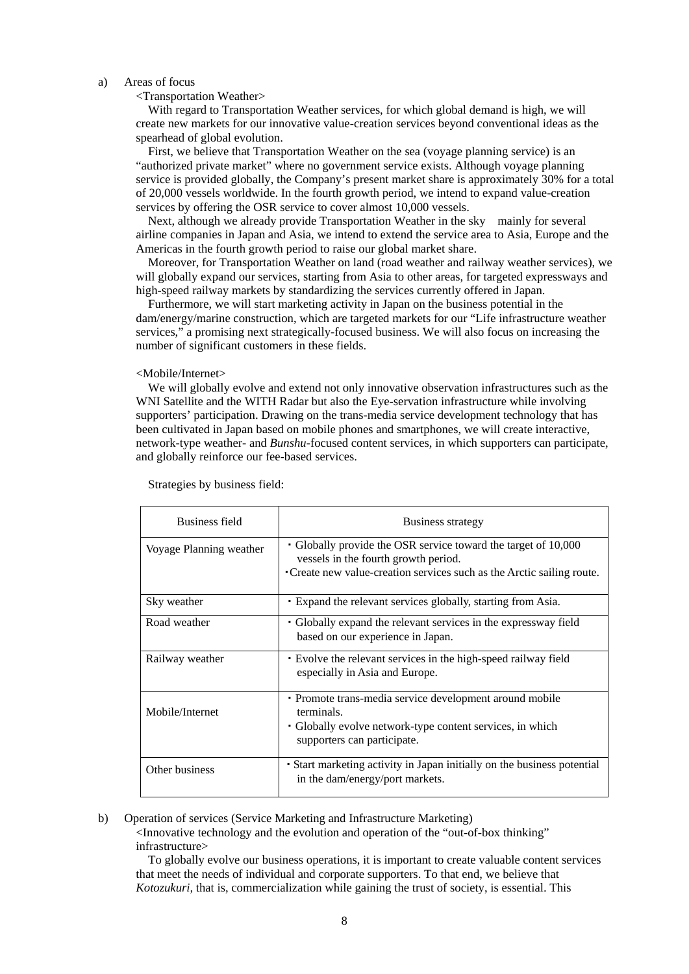#### a) Areas of focus

#### <Transportation Weather>

With regard to Transportation Weather services, for which global demand is high, we will create new markets for our innovative value-creation services beyond conventional ideas as the spearhead of global evolution.

First, we believe that Transportation Weather on the sea (voyage planning service) is an "authorized private market" where no government service exists. Although voyage planning service is provided globally, the Company's present market share is approximately 30% for a total of 20,000 vessels worldwide. In the fourth growth period, we intend to expand value-creation services by offering the OSR service to cover almost 10,000 vessels.

Next, although we already provide Transportation Weather in the sky mainly for several airline companies in Japan and Asia, we intend to extend the service area to Asia, Europe and the Americas in the fourth growth period to raise our global market share.

Moreover, for Transportation Weather on land (road weather and railway weather services), we will globally expand our services, starting from Asia to other areas, for targeted expressways and high-speed railway markets by standardizing the services currently offered in Japan.

Furthermore, we will start marketing activity in Japan on the business potential in the dam/energy/marine construction, which are targeted markets for our "Life infrastructure weather services," a promising next strategically-focused business. We will also focus on increasing the number of significant customers in these fields.

#### <Mobile/Internet>

We will globally evolve and extend not only innovative observation infrastructures such as the WNI Satellite and the WITH Radar but also the Eye-servation infrastructure while involving supporters' participation. Drawing on the trans-media service development technology that has been cultivated in Japan based on mobile phones and smartphones, we will create interactive, network-type weather- and *Bunshu*-focused content services, in which supporters can participate, and globally reinforce our fee-based services.

| <b>Business field</b>   | <b>Business strategy</b>                                                                                                                                                         |
|-------------------------|----------------------------------------------------------------------------------------------------------------------------------------------------------------------------------|
| Voyage Planning weather | • Globally provide the OSR service toward the target of 10,000<br>vessels in the fourth growth period.<br>• Create new value-creation services such as the Arctic sailing route. |
|                         |                                                                                                                                                                                  |
| Sky weather             | Expand the relevant services globally, starting from Asia.                                                                                                                       |
| Road weather            | • Globally expand the relevant services in the expressway field<br>based on our experience in Japan.                                                                             |
| Railway weather         | Evolve the relevant services in the high-speed railway field<br>especially in Asia and Europe.                                                                                   |
| Mobile/Internet         | • Promote trans-media service development around mobile<br>terminals.<br>• Globally evolve network-type content services, in which<br>supporters can participate.                |
| Other business          | • Start marketing activity in Japan initially on the business potential<br>in the dam/energy/port markets.                                                                       |

Strategies by business field:

#### b) Operation of services (Service Marketing and Infrastructure Marketing)

<Innovative technology and the evolution and operation of the "out-of-box thinking" infrastructure>

To globally evolve our business operations, it is important to create valuable content services that meet the needs of individual and corporate supporters. To that end, we believe that *Kotozukuri,* that is, commercialization while gaining the trust of society, is essential. This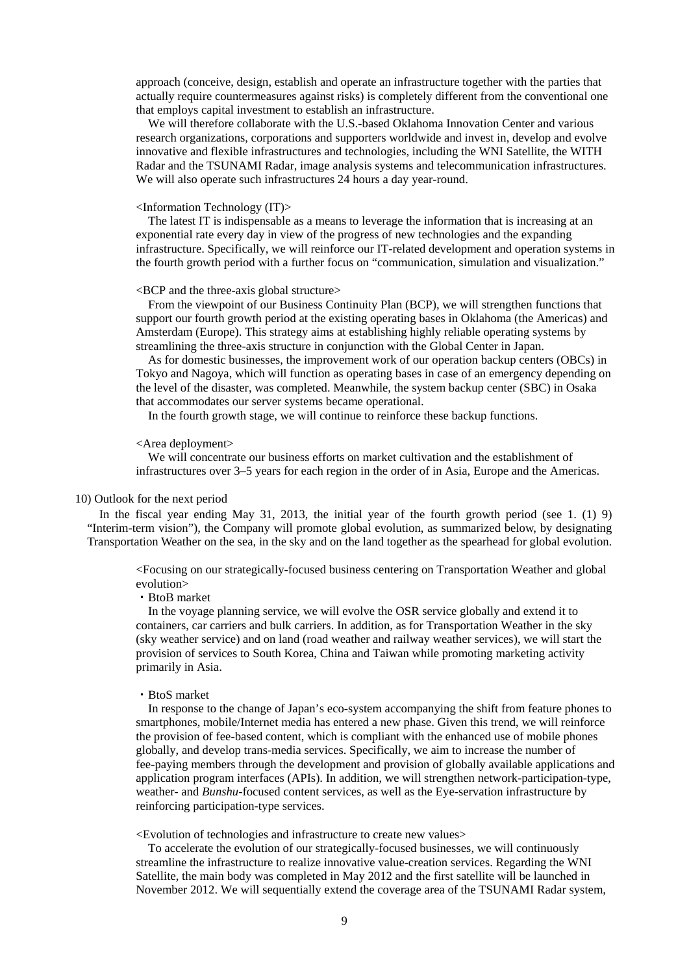approach (conceive, design, establish and operate an infrastructure together with the parties that actually require countermeasures against risks) is completely different from the conventional one that employs capital investment to establish an infrastructure.

We will therefore collaborate with the U.S.-based Oklahoma Innovation Center and various research organizations, corporations and supporters worldwide and invest in, develop and evolve innovative and flexible infrastructures and technologies, including the WNI Satellite, the WITH Radar and the TSUNAMI Radar, image analysis systems and telecommunication infrastructures. We will also operate such infrastructures 24 hours a day year-round.

#### <Information Technology (IT)>

The latest IT is indispensable as a means to leverage the information that is increasing at an exponential rate every day in view of the progress of new technologies and the expanding infrastructure. Specifically, we will reinforce our IT-related development and operation systems in the fourth growth period with a further focus on "communication, simulation and visualization."

#### $\leq$ BCP and the three-axis global structure $>$

From the viewpoint of our Business Continuity Plan (BCP), we will strengthen functions that support our fourth growth period at the existing operating bases in Oklahoma (the Americas) and Amsterdam (Europe). This strategy aims at establishing highly reliable operating systems by streamlining the three-axis structure in conjunction with the Global Center in Japan.

As for domestic businesses, the improvement work of our operation backup centers (OBCs) in Tokyo and Nagoya, which will function as operating bases in case of an emergency depending on the level of the disaster, was completed. Meanwhile, the system backup center (SBC) in Osaka that accommodates our server systems became operational.

In the fourth growth stage, we will continue to reinforce these backup functions.

#### <Area deployment>

We will concentrate our business efforts on market cultivation and the establishment of infrastructures over 3–5 years for each region in the order of in Asia, Europe and the Americas.

#### 10) Outlook for the next period

In the fiscal year ending May 31, 2013, the initial year of the fourth growth period (see 1. (1) 9) "Interim-term vision"), the Company will promote global evolution, as summarized below, by designating Transportation Weather on the sea, in the sky and on the land together as the spearhead for global evolution.

<Focusing on our strategically-focused business centering on Transportation Weather and global evolution>

・BtoB market

In the voyage planning service, we will evolve the OSR service globally and extend it to containers, car carriers and bulk carriers. In addition, as for Transportation Weather in the sky (sky weather service) and on land (road weather and railway weather services), we will start the provision of services to South Korea, China and Taiwan while promoting marketing activity primarily in Asia.

#### ・BtoS market

In response to the change of Japan's eco-system accompanying the shift from feature phones to smartphones, mobile/Internet media has entered a new phase. Given this trend, we will reinforce the provision of fee-based content, which is compliant with the enhanced use of mobile phones globally, and develop trans-media services. Specifically, we aim to increase the number of fee-paying members through the development and provision of globally available applications and application program interfaces (APIs). In addition, we will strengthen network-participation-type, weather- and *Bunshu*-focused content services, as well as the Eye-servation infrastructure by reinforcing participation-type services.

<Evolution of technologies and infrastructure to create new values>

To accelerate the evolution of our strategically-focused businesses, we will continuously streamline the infrastructure to realize innovative value-creation services. Regarding the WNI Satellite, the main body was completed in May 2012 and the first satellite will be launched in November 2012. We will sequentially extend the coverage area of the TSUNAMI Radar system,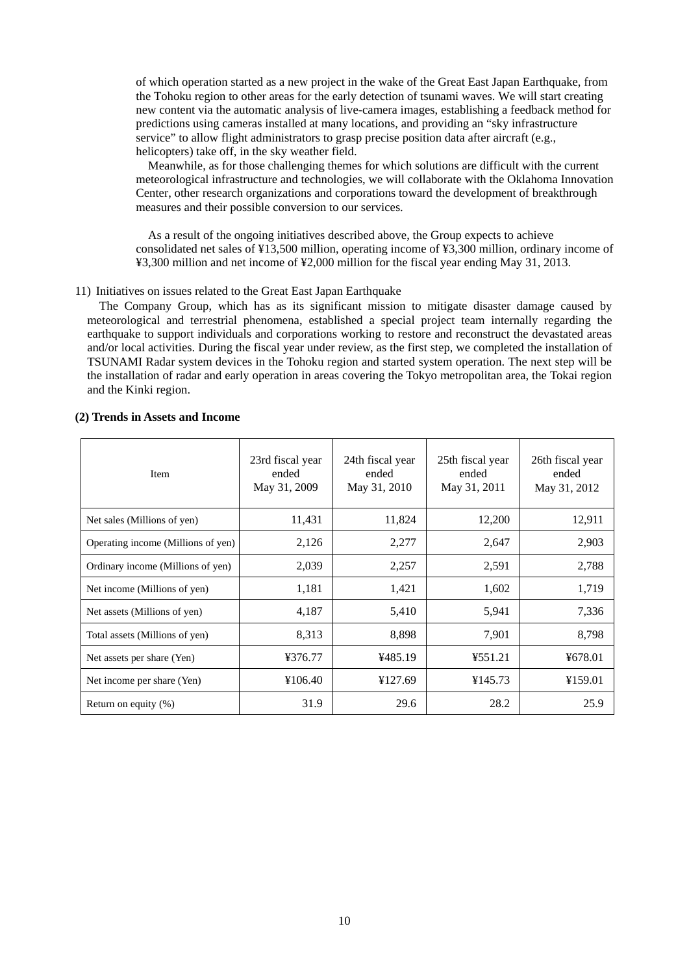of which operation started as a new project in the wake of the Great East Japan Earthquake, from the Tohoku region to other areas for the early detection of tsunami waves. We will start creating new content via the automatic analysis of live-camera images, establishing a feedback method for predictions using cameras installed at many locations, and providing an "sky infrastructure service" to allow flight administrators to grasp precise position data after aircraft (e.g., helicopters) take off, in the sky weather field.

Meanwhile, as for those challenging themes for which solutions are difficult with the current meteorological infrastructure and technologies, we will collaborate with the Oklahoma Innovation Center, other research organizations and corporations toward the development of breakthrough measures and their possible conversion to our services.

As a result of the ongoing initiatives described above, the Group expects to achieve consolidated net sales of ¥13,500 million, operating income of ¥3,300 million, ordinary income of ¥3,300 million and net income of ¥2,000 million for the fiscal year ending May 31, 2013.

#### 11) Initiatives on issues related to the Great East Japan Earthquake

The Company Group, which has as its significant mission to mitigate disaster damage caused by meteorological and terrestrial phenomena, established a special project team internally regarding the earthquake to support individuals and corporations working to restore and reconstruct the devastated areas and/or local activities. During the fiscal year under review, as the first step, we completed the installation of TSUNAMI Radar system devices in the Tohoku region and started system operation. The next step will be the installation of radar and early operation in areas covering the Tokyo metropolitan area, the Tokai region and the Kinki region.

| Item                               | 23rd fiscal year<br>ended<br>May 31, 2009 | 24th fiscal year<br>ended<br>May 31, 2010 | 25th fiscal year<br>ended<br>May 31, 2011 | 26th fiscal year<br>ended<br>May 31, 2012 |
|------------------------------------|-------------------------------------------|-------------------------------------------|-------------------------------------------|-------------------------------------------|
| Net sales (Millions of yen)        | 11,431                                    | 11,824                                    | 12,200                                    | 12,911                                    |
| Operating income (Millions of yen) | 2,126                                     | 2,277                                     | 2,647                                     | 2,903                                     |
| Ordinary income (Millions of yen)  | 2,039                                     | 2,257                                     | 2,591                                     | 2,788                                     |
| Net income (Millions of yen)       | 1,181                                     | 1,421                                     | 1,602                                     | 1,719                                     |
| Net assets (Millions of yen)       | 4,187                                     | 5,410                                     | 5,941                                     | 7,336                                     |
| Total assets (Millions of yen)     | 8,313                                     | 8,898                                     | 7,901                                     | 8,798                                     |
| Net assets per share (Yen)         | ¥376.77                                   | ¥485.19                                   | ¥551.21                                   | ¥678.01                                   |
| Net income per share (Yen)         | ¥106.40                                   | ¥127.69                                   | ¥145.73                                   | ¥159.01                                   |
| Return on equity $(\%)$            | 31.9                                      | 29.6                                      | 28.2                                      | 25.9                                      |

#### **(2) Trends in Assets and Income**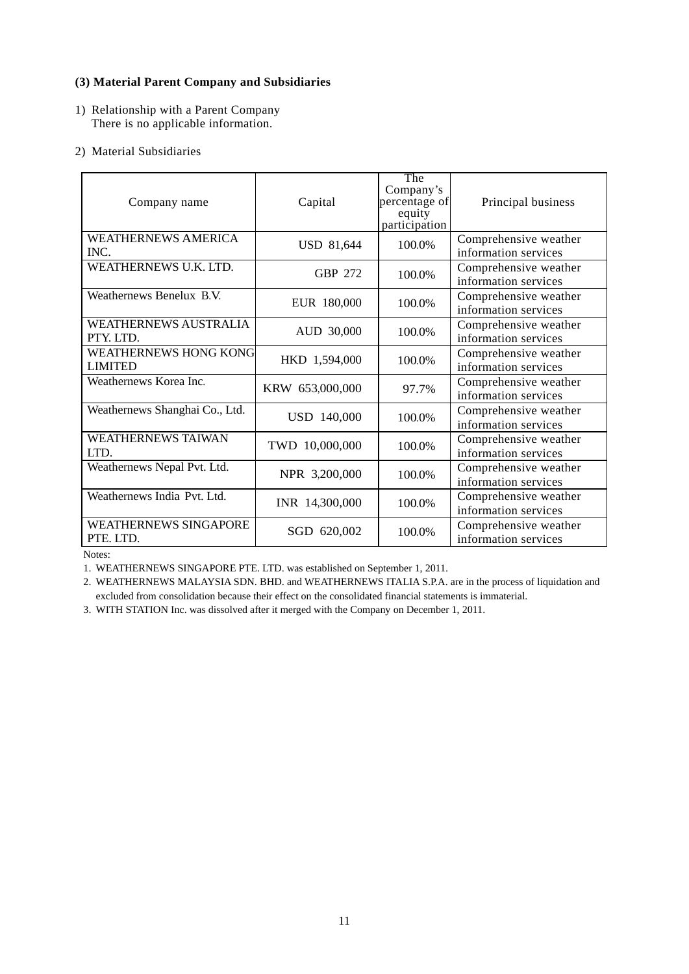## **(3) Material Parent Company and Subsidiaries**

- 1) Relationship with a Parent Company There is no applicable information.
- 2) Material Subsidiaries

| Company name                                   | Capital           | The<br>Company's<br>percentage of<br>equity<br>participation | Principal business                            |
|------------------------------------------------|-------------------|--------------------------------------------------------------|-----------------------------------------------|
| <b>WEATHERNEWS AMERICA</b><br>INC.             | <b>USD 81,644</b> | 100.0%                                                       | Comprehensive weather<br>information services |
| WEATHERNEWS U.K. LTD.                          | <b>GBP 272</b>    | 100.0%                                                       | Comprehensive weather<br>information services |
| Weathernews Benelux B.V.                       | EUR 180,000       | 100.0%                                                       | Comprehensive weather<br>information services |
| <b>WEATHERNEWS AUSTRALIA</b><br>PTY LTD.       | AUD 30,000        | 100.0%                                                       | Comprehensive weather<br>information services |
| <b>WEATHERNEWS HONG KONG</b><br><b>LIMITED</b> | HKD 1,594,000     | 100.0%                                                       | Comprehensive weather<br>information services |
| Weathernews Korea Inc.                         | KRW 653,000,000   | 97.7%                                                        | Comprehensive weather<br>information services |
| Weathernews Shanghai Co., Ltd.                 | USD 140,000       | 100.0%                                                       | Comprehensive weather<br>information services |
| <b>WEATHERNEWS TAIWAN</b><br>LTD.              | TWD 10,000,000    | 100.0%                                                       | Comprehensive weather<br>information services |
| Weathernews Nepal Pvt. Ltd.                    | NPR 3,200,000     | 100.0%                                                       | Comprehensive weather<br>information services |
| Weathernews India Pvt. Ltd.                    | INR 14,300,000    | 100.0%                                                       | Comprehensive weather<br>information services |
| <b>WEATHERNEWS SINGAPORE</b><br>PTE. LTD.      | SGD 620,002       | 100.0%                                                       | Comprehensive weather<br>information services |

Notes:

1. WEATHERNEWS SINGAPORE PTE. LTD. was established on September 1, 2011.

2. WEATHERNEWS MALAYSIA SDN. BHD. and WEATHERNEWS ITALIA S.P.A. are in the process of liquidation and excluded from consolidation because their effect on the consolidated financial statements is immaterial.

3. WITH STATION Inc. was dissolved after it merged with the Company on December 1, 2011.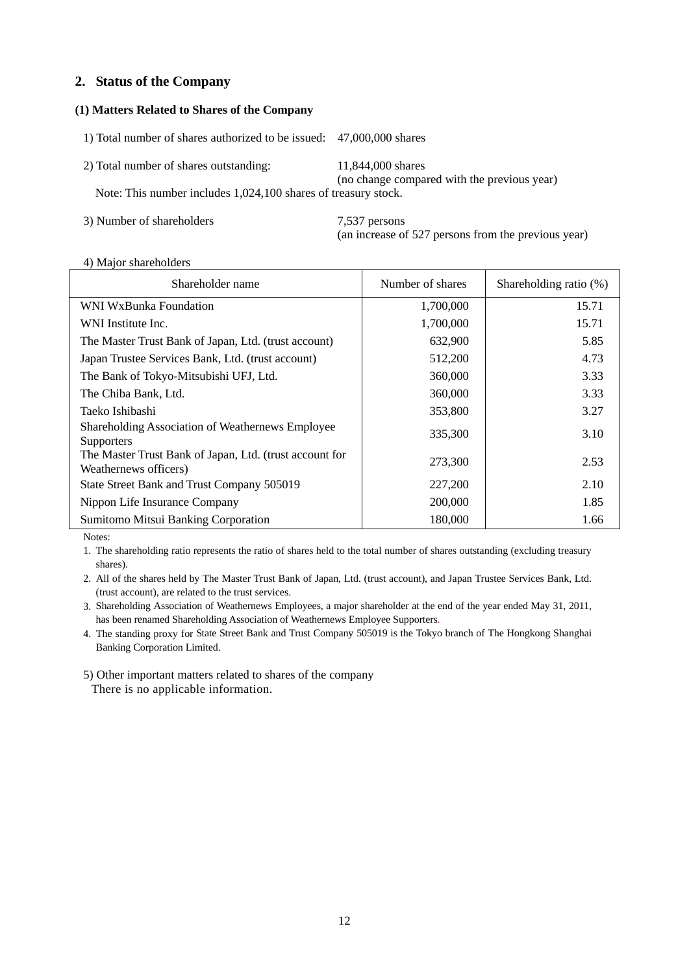## **2. Status of the Company**

## **(1) Matters Related to Shares of the Company**

1) Total number of shares authorized to be issued: 47,000,000 shares 2) Total number of shares outstanding: 11,844,000 shares (no change compared with the previous year) Note: This number includes 1,024,100 shares of treasury stock.

3) Number of shareholders 7,537 persons

(an increase of 527 persons from the previous year)

#### 4) Major shareholders

| Shareholder name                                                                 | Number of shares | Shareholding ratio (%) |
|----------------------------------------------------------------------------------|------------------|------------------------|
| WNI WxBunka Foundation                                                           | 1,700,000        | 15.71                  |
| WNI Institute Inc.                                                               | 1,700,000        | 15.71                  |
| The Master Trust Bank of Japan, Ltd. (trust account)                             | 632,900          | 5.85                   |
| Japan Trustee Services Bank, Ltd. (trust account)                                | 512,200          | 4.73                   |
| The Bank of Tokyo-Mitsubishi UFJ, Ltd.                                           | 360,000          | 3.33                   |
| The Chiba Bank, Ltd.                                                             | 360,000          | 3.33                   |
| Taeko Ishibashi                                                                  | 353,800          | 3.27                   |
| Shareholding Association of Weathernews Employee<br><b>Supporters</b>            | 335,300          | 3.10                   |
| The Master Trust Bank of Japan, Ltd. (trust account for<br>Weathernews officers) | 273,300          | 2.53                   |
| State Street Bank and Trust Company 505019                                       | 227,200          | 2.10                   |
| Nippon Life Insurance Company                                                    | 200,000          | 1.85                   |
| Sumitomo Mitsui Banking Corporation                                              | 180,000          | 1.66                   |

Notes:

1. The shareholding ratio represents the ratio of shares held to the total number of shares outstanding (excluding treasury shares).

2. All of the shares held by The Master Trust Bank of Japan, Ltd. (trust account), and Japan Trustee Services Bank, Ltd. (trust account), are related to the trust services.

3. Shareholding Association of Weathernews Employees, a major shareholder at the end of the year ended May 31, 2011, has been renamed Shareholding Association of Weathernews Employee Supporters.

4. The standing proxy for State Street Bank and Trust Company 505019 is the Tokyo branch of The Hongkong Shanghai Banking Corporation Limited.

5) Other important matters related to shares of the company There is no applicable information.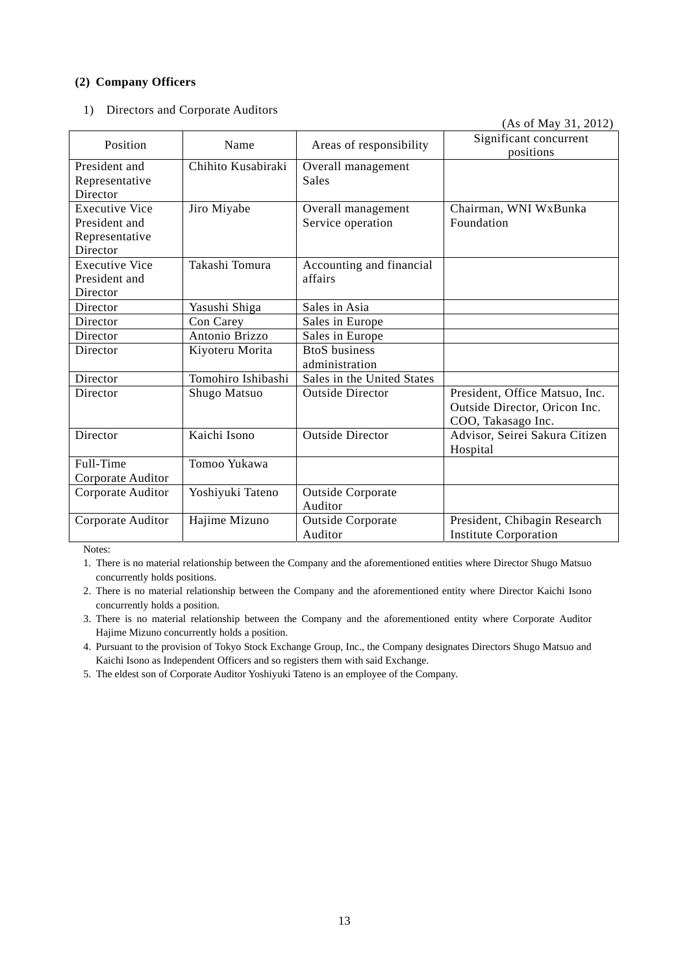## **(2) Company Officers**

1) Directors and Corporate Auditors

|                                                                      |                    |                                         | (As of May 31, 2012)                                                                  |
|----------------------------------------------------------------------|--------------------|-----------------------------------------|---------------------------------------------------------------------------------------|
| Position                                                             | Name               | Areas of responsibility                 | Significant concurrent<br>positions                                                   |
| President and<br>Representative<br>Director                          | Chihito Kusabiraki | Overall management<br>Sales             |                                                                                       |
| <b>Executive Vice</b><br>President and<br>Representative<br>Director | Jiro Miyabe        | Overall management<br>Service operation | Chairman, WNI WxBunka<br>Foundation                                                   |
| <b>Executive Vice</b><br>President and<br>Director                   | Takashi Tomura     | Accounting and financial<br>affairs     |                                                                                       |
| Director                                                             | Yasushi Shiga      | Sales in Asia                           |                                                                                       |
| Director                                                             | Con Carey          | Sales in Europe                         |                                                                                       |
| Director                                                             | Antonio Brizzo     | Sales in Europe                         |                                                                                       |
| Director                                                             | Kiyoteru Morita    | <b>BtoS</b> business<br>administration  |                                                                                       |
| Director                                                             | Tomohiro Ishibashi | Sales in the United States              |                                                                                       |
| Director                                                             | Shugo Matsuo       | <b>Outside Director</b>                 | President, Office Matsuo, Inc.<br>Outside Director, Oricon Inc.<br>COO, Takasago Inc. |
| Director                                                             | Kaichi Isono       | <b>Outside Director</b>                 | Advisor, Seirei Sakura Citizen<br>Hospital                                            |
| Full-Time                                                            | Tomoo Yukawa       |                                         |                                                                                       |
| Corporate Auditor                                                    |                    |                                         |                                                                                       |
| Corporate Auditor                                                    | Yoshiyuki Tateno   | <b>Outside Corporate</b><br>Auditor     |                                                                                       |
| Corporate Auditor                                                    | Hajime Mizuno      | <b>Outside Corporate</b><br>Auditor     | President, Chibagin Research<br><b>Institute Corporation</b>                          |

Notes:

1. There is no material relationship between the Company and the aforementioned entities where Director Shugo Matsuo concurrently holds positions.

2. There is no material relationship between the Company and the aforementioned entity where Director Kaichi Isono concurrently holds a position.

3. There is no material relationship between the Company and the aforementioned entity where Corporate Auditor Hajime Mizuno concurrently holds a position.

4. Pursuant to the provision of Tokyo Stock Exchange Group, Inc., the Company designates Directors Shugo Matsuo and Kaichi Isono as Independent Officers and so registers them with said Exchange.

5. The eldest son of Corporate Auditor Yoshiyuki Tateno is an employee of the Company.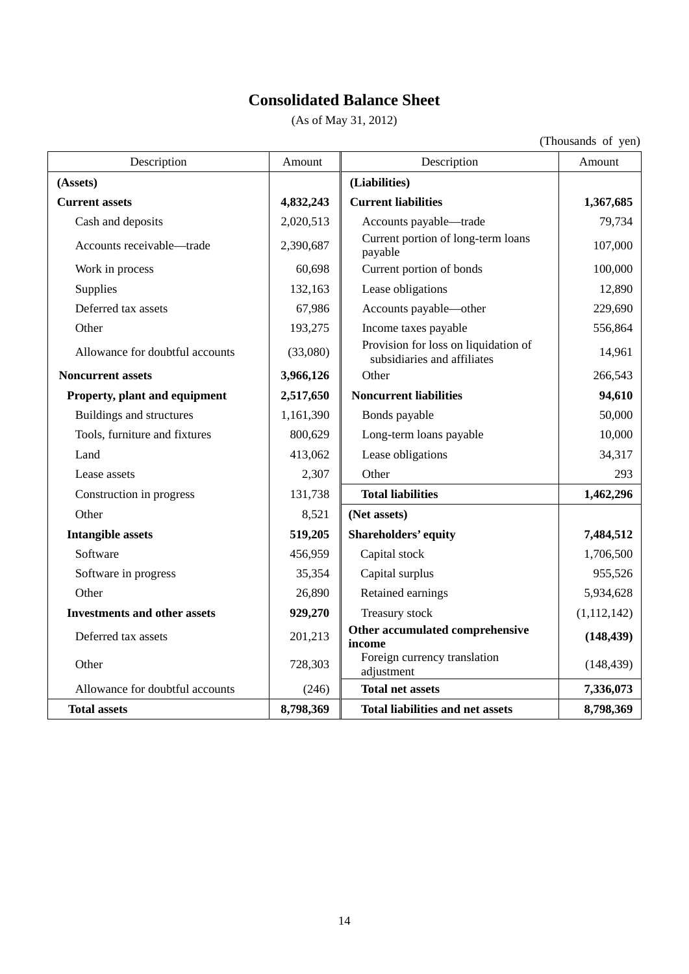# **Consolidated Balance Sheet**

(As of May 31, 2012)

(Thousands of yen)

| Description                         | Amount    | Description                                                         | Amount        |
|-------------------------------------|-----------|---------------------------------------------------------------------|---------------|
| (Assets)                            |           | (Liabilities)                                                       |               |
| <b>Current assets</b>               | 4,832,243 | <b>Current liabilities</b>                                          | 1,367,685     |
| Cash and deposits                   | 2,020,513 | Accounts payable—trade                                              | 79,734        |
| Accounts receivable-trade           | 2,390,687 | Current portion of long-term loans<br>payable                       | 107,000       |
| Work in process                     | 60,698    | Current portion of bonds                                            | 100,000       |
| Supplies                            | 132,163   | Lease obligations                                                   | 12,890        |
| Deferred tax assets                 | 67,986    | Accounts payable—other                                              | 229,690       |
| Other                               | 193,275   | Income taxes payable                                                | 556,864       |
| Allowance for doubtful accounts     | (33,080)  | Provision for loss on liquidation of<br>subsidiaries and affiliates | 14,961        |
| <b>Noncurrent assets</b>            | 3,966,126 | Other                                                               | 266,543       |
| Property, plant and equipment       | 2,517,650 | <b>Noncurrent liabilities</b>                                       | 94,610        |
| Buildings and structures            | 1,161,390 | Bonds payable                                                       | 50,000        |
| Tools, furniture and fixtures       | 800,629   | Long-term loans payable                                             | 10,000        |
| Land                                | 413,062   | Lease obligations                                                   | 34,317        |
| Lease assets                        | 2,307     | Other                                                               | 293           |
| Construction in progress            | 131,738   | <b>Total liabilities</b>                                            | 1,462,296     |
| Other                               | 8,521     | (Net assets)                                                        |               |
| <b>Intangible assets</b>            | 519,205   | <b>Shareholders' equity</b>                                         | 7,484,512     |
| Software                            | 456,959   | Capital stock                                                       | 1,706,500     |
| Software in progress                | 35,354    | Capital surplus                                                     | 955,526       |
| Other                               | 26,890    | Retained earnings                                                   | 5,934,628     |
| <b>Investments and other assets</b> | 929,270   | Treasury stock                                                      | (1, 112, 142) |
| Deferred tax assets                 | 201,213   | Other accumulated comprehensive<br>income                           | (148, 439)    |
| Other                               | 728,303   | Foreign currency translation<br>adjustment                          | (148, 439)    |
| Allowance for doubtful accounts     | (246)     | <b>Total net assets</b>                                             | 7,336,073     |
| <b>Total assets</b>                 | 8,798,369 | <b>Total liabilities and net assets</b>                             | 8,798,369     |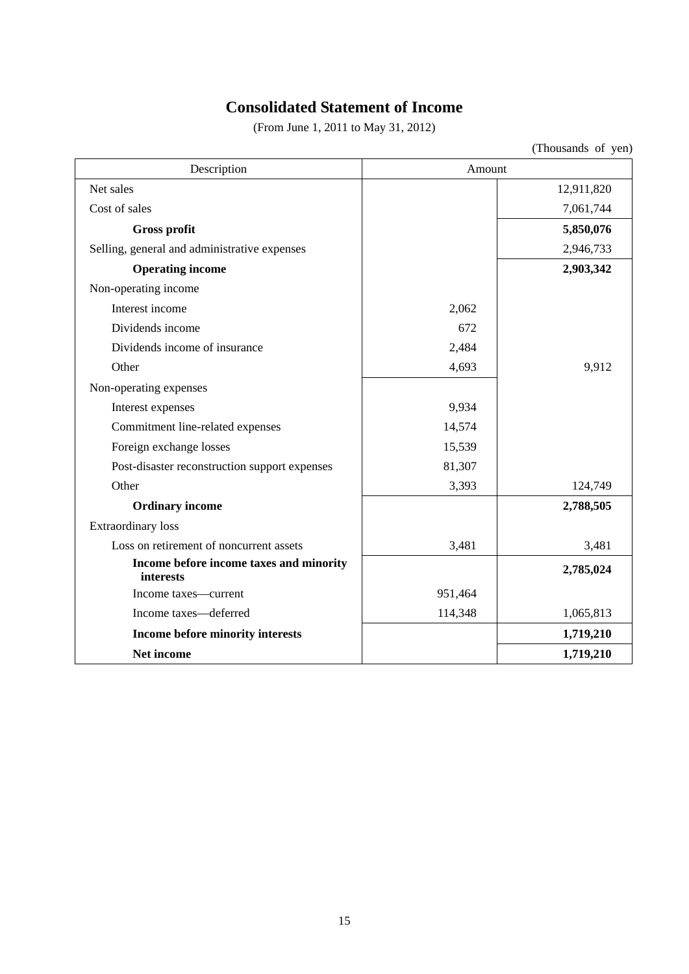## **Consolidated Statement of Income**

(From June 1, 2011 to May 31, 2012)

(Thousands of yen)

| Description                                          | Amount  |            |
|------------------------------------------------------|---------|------------|
| Net sales                                            |         | 12,911,820 |
| Cost of sales                                        |         | 7,061,744  |
| <b>Gross profit</b>                                  |         | 5,850,076  |
| Selling, general and administrative expenses         |         | 2,946,733  |
| <b>Operating income</b>                              |         | 2,903,342  |
| Non-operating income                                 |         |            |
| Interest income                                      | 2,062   |            |
| Dividends income                                     | 672     |            |
| Dividends income of insurance                        | 2,484   |            |
| Other                                                | 4,693   | 9,912      |
| Non-operating expenses                               |         |            |
| Interest expenses                                    | 9,934   |            |
| Commitment line-related expenses                     | 14,574  |            |
| Foreign exchange losses                              | 15,539  |            |
| Post-disaster reconstruction support expenses        | 81,307  |            |
| Other                                                | 3,393   | 124,749    |
| <b>Ordinary income</b>                               |         | 2,788,505  |
| <b>Extraordinary</b> loss                            |         |            |
| Loss on retirement of noncurrent assets              | 3,481   | 3,481      |
| Income before income taxes and minority<br>interests |         | 2,785,024  |
| Income taxes—current                                 | 951,464 |            |
| Income taxes-deferred                                | 114,348 | 1,065,813  |
| Income before minority interests                     |         | 1,719,210  |
| Net income                                           |         | 1,719,210  |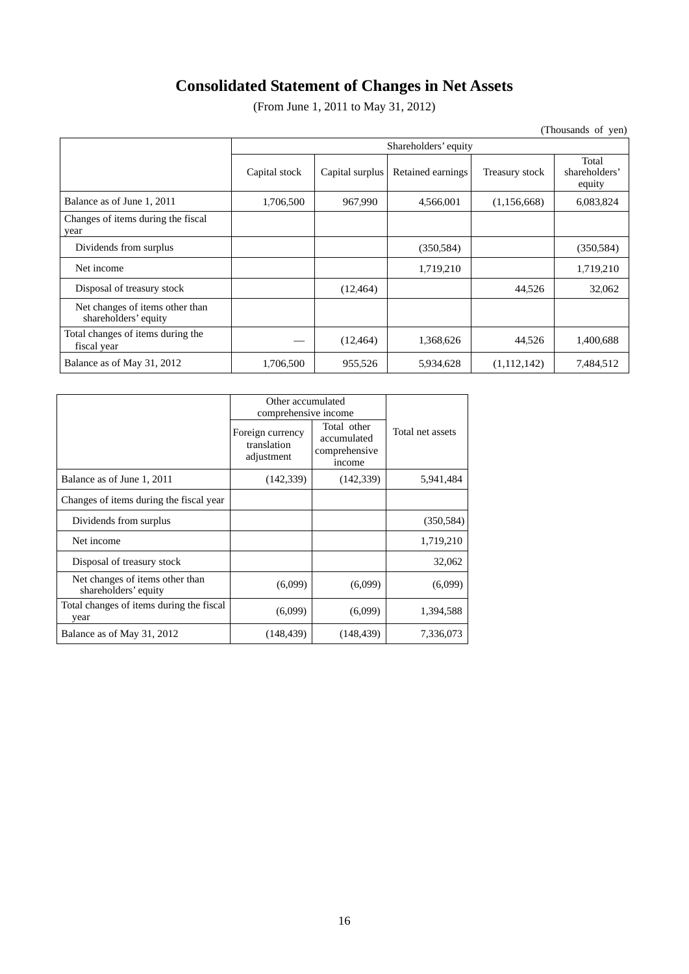# **Consolidated Statement of Changes in Net Assets**

(From June 1, 2011 to May 31, 2012)

(Thousands of yen)

|                                                         | Shareholders' equity |                 |                   |                |                                  |
|---------------------------------------------------------|----------------------|-----------------|-------------------|----------------|----------------------------------|
|                                                         | Capital stock        | Capital surplus | Retained earnings | Treasury stock | Total<br>shareholders'<br>equity |
| Balance as of June 1, 2011                              | 1,706,500            | 967,990         | 4,566,001         | (1,156,668)    | 6.083,824                        |
| Changes of items during the fiscal<br>year              |                      |                 |                   |                |                                  |
| Dividends from surplus                                  |                      |                 | (350.584)         |                | (350.584)                        |
| Net income                                              |                      |                 | 1,719,210         |                | 1,719,210                        |
| Disposal of treasury stock                              |                      | (12, 464)       |                   | 44,526         | 32,062                           |
| Net changes of items other than<br>shareholders' equity |                      |                 |                   |                |                                  |
| Total changes of items during the<br>fiscal year        |                      | (12, 464)       | 1,368,626         | 44,526         | 1,400,688                        |
| Balance as of May 31, 2012                              | 1,706,500            | 955,526         | 5,934,628         | (1,112,142)    | 7,484,512                        |

|                                                         | Other accumulated<br>comprehensive income     |                                                       |                  |  |
|---------------------------------------------------------|-----------------------------------------------|-------------------------------------------------------|------------------|--|
|                                                         | Foreign currency<br>translation<br>adjustment | Total other<br>accumulated<br>comprehensive<br>income | Total net assets |  |
| Balance as of June 1, 2011                              | (142, 339)                                    | (142, 339)                                            | 5,941,484        |  |
| Changes of items during the fiscal year                 |                                               |                                                       |                  |  |
| Dividends from surplus                                  |                                               |                                                       | (350, 584)       |  |
| Net income                                              |                                               |                                                       | 1,719,210        |  |
| Disposal of treasury stock                              |                                               |                                                       | 32,062           |  |
| Net changes of items other than<br>shareholders' equity | (6,099)                                       | (6,099)                                               | (6,099)          |  |
| Total changes of items during the fiscal<br>year        | (6,099)                                       | (6,099)                                               | 1,394,588        |  |
| Balance as of May 31, 2012                              | (148, 439)                                    | (148, 439)                                            | 7,336,073        |  |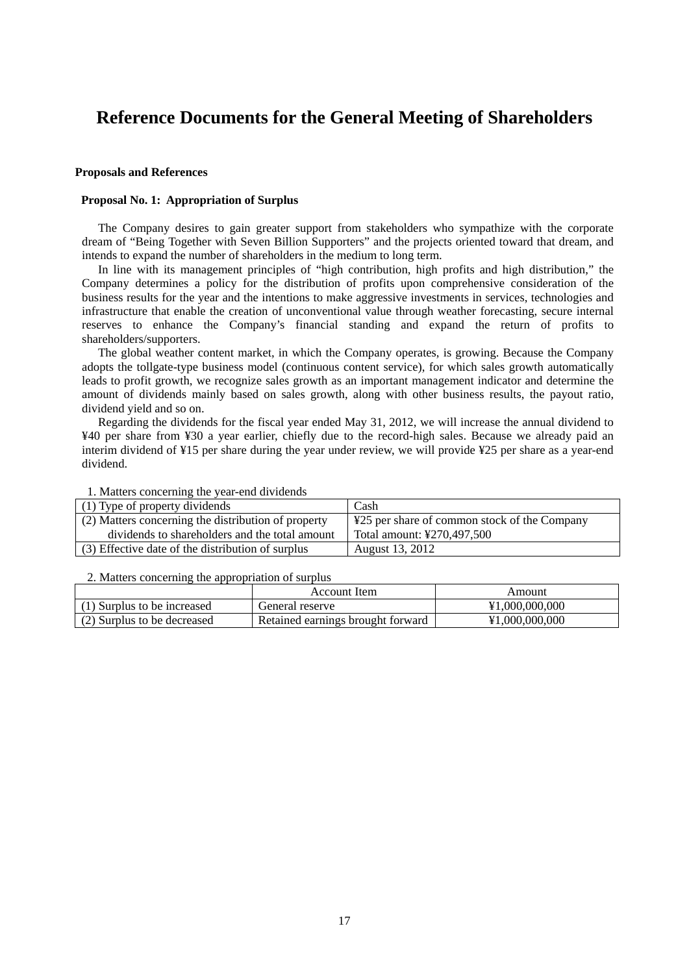## **Reference Documents for the General Meeting of Shareholders**

#### **Proposals and References**

#### **Proposal No. 1: Appropriation of Surplus**

The Company desires to gain greater support from stakeholders who sympathize with the corporate dream of "Being Together with Seven Billion Supporters" and the projects oriented toward that dream, and intends to expand the number of shareholders in the medium to long term.

In line with its management principles of "high contribution, high profits and high distribution," the Company determines a policy for the distribution of profits upon comprehensive consideration of the business results for the year and the intentions to make aggressive investments in services, technologies and infrastructure that enable the creation of unconventional value through weather forecasting, secure internal reserves to enhance the Company's financial standing and expand the return of profits to shareholders/supporters.

The global weather content market, in which the Company operates, is growing. Because the Company adopts the tollgate-type business model (continuous content service), for which sales growth automatically leads to profit growth, we recognize sales growth as an important management indicator and determine the amount of dividends mainly based on sales growth, along with other business results, the payout ratio, dividend yield and so on.

Regarding the dividends for the fiscal year ended May 31, 2012, we will increase the annual dividend to ¥40 per share from ¥30 a year earlier, chiefly due to the record-high sales. Because we already paid an interim dividend of ¥15 per share during the year under review, we will provide ¥25 per share as a year-end dividend.

| (1) Type of property dividends                      | Cash                                         |
|-----------------------------------------------------|----------------------------------------------|
| (2) Matters concerning the distribution of property | ¥25 per share of common stock of the Company |
| dividends to shareholders and the total amount      | Total amount: ¥270,497,500                   |
| (3) Effective date of the distribution of surplus   | August 13, 2012                              |

## 1. Matters concerning the year-end dividends

#### 2. Matters concerning the appropriation of surplus

|                             | Account Item                      | Amount         |
|-----------------------------|-----------------------------------|----------------|
| (1) Surplus to be increased | General reserve                   | ¥1,000,000,000 |
| (2) Surplus to be decreased | Retained earnings brought forward | ¥1,000,000,000 |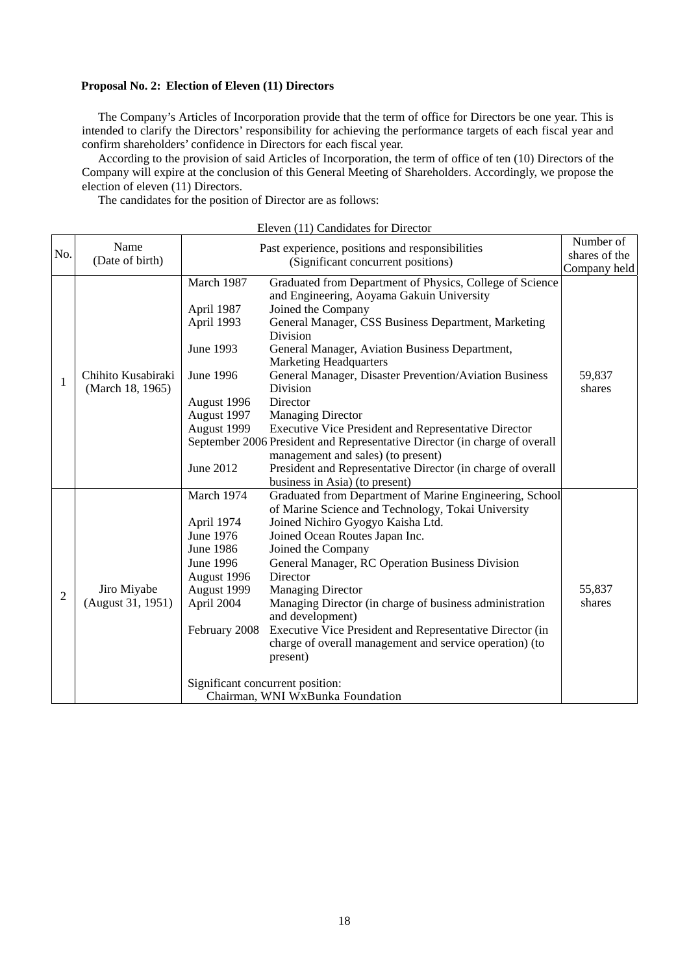## **Proposal No. 2: Election of Eleven (11) Directors**

The Company's Articles of Incorporation provide that the term of office for Directors be one year. This is intended to clarify the Directors' responsibility for achieving the performance targets of each fiscal year and confirm shareholders' confidence in Directors for each fiscal year.

According to the provision of said Articles of Incorporation, the term of office of ten (10) Directors of the Company will expire at the conclusion of this General Meeting of Shareholders. Accordingly, we propose the election of eleven (11) Directors.

The candidates for the position of Director are as follows:

| Name<br>(Date of birth)                |                                                                                                                                     | (Significant concurrent positions)                                                                                                                                                                                                                                                                                                                                                                                                                                                                                                                                                                    | Number of<br>shares of the<br>Company held                                                                                                                                                            |
|----------------------------------------|-------------------------------------------------------------------------------------------------------------------------------------|-------------------------------------------------------------------------------------------------------------------------------------------------------------------------------------------------------------------------------------------------------------------------------------------------------------------------------------------------------------------------------------------------------------------------------------------------------------------------------------------------------------------------------------------------------------------------------------------------------|-------------------------------------------------------------------------------------------------------------------------------------------------------------------------------------------------------|
| Chihito Kusabiraki<br>(March 18, 1965) | March 1987<br>April 1987<br>April 1993<br>June 1993<br>June 1996<br>August 1996<br>August 1997<br>August 1999<br>June 2012          | Graduated from Department of Physics, College of Science<br>and Engineering, Aoyama Gakuin University<br>Joined the Company<br>General Manager, CSS Business Department, Marketing<br><b>Division</b><br>General Manager, Aviation Business Department,<br><b>Marketing Headquarters</b><br>General Manager, Disaster Prevention/Aviation Business<br>Division<br>Director<br><b>Managing Director</b><br>Executive Vice President and Representative Director<br>management and sales) (to present)<br>President and Representative Director (in charge of overall<br>business in Asia) (to present) | 59,837<br>shares                                                                                                                                                                                      |
| Jiro Miyabe<br>(August 31, 1951)       | March 1974<br>April 1974<br>June 1976<br><b>June 1986</b><br>June 1996<br>August 1996<br>August 1999<br>April 2004<br>February 2008 | Graduated from Department of Marine Engineering, School<br>of Marine Science and Technology, Tokai University<br>Joined Nichiro Gyogyo Kaisha Ltd.<br>Joined Ocean Routes Japan Inc.<br>Joined the Company<br>General Manager, RC Operation Business Division<br>Director<br><b>Managing Director</b><br>Managing Director (in charge of business administration<br>and development)<br>Executive Vice President and Representative Director (in<br>charge of overall management and service operation) (to<br>present)                                                                               | 55,837<br>shares                                                                                                                                                                                      |
|                                        |                                                                                                                                     |                                                                                                                                                                                                                                                                                                                                                                                                                                                                                                                                                                                                       | Past experience, positions and responsibilities<br>September 2006 President and Representative Director (in charge of overall<br>Significant concurrent position:<br>Chairman, WNI WxBunka Foundation |

|  |  | Eleven (11) Candidates for Director |  |  |
|--|--|-------------------------------------|--|--|
|--|--|-------------------------------------|--|--|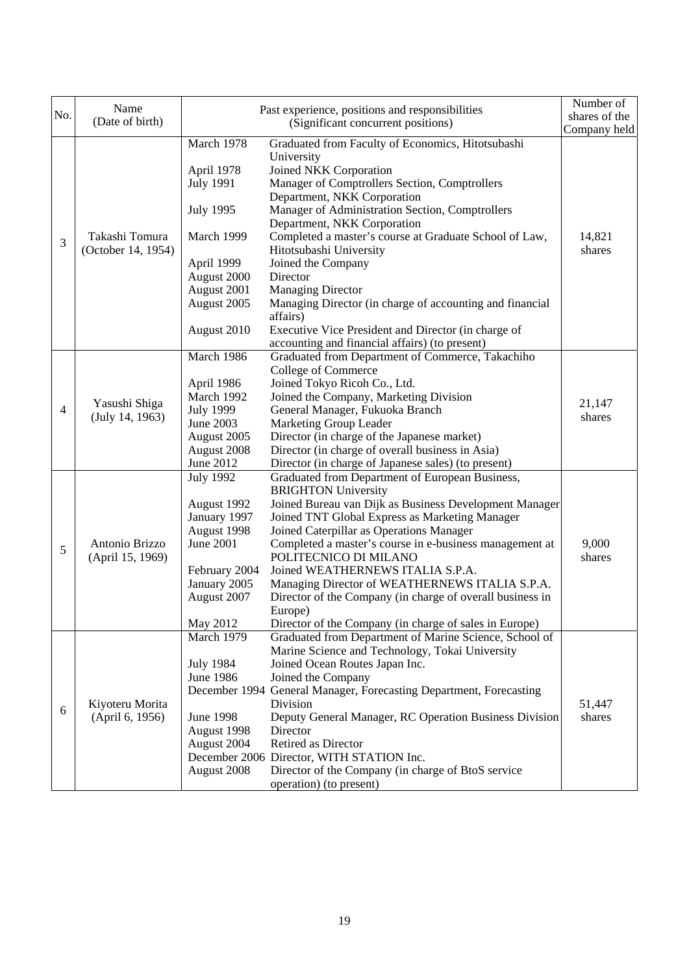| No.            | Name                                 |                  | Past experience, positions and responsibilities                               | Number of     |
|----------------|--------------------------------------|------------------|-------------------------------------------------------------------------------|---------------|
|                | (Date of birth)                      |                  | (Significant concurrent positions)                                            | shares of the |
|                |                                      |                  |                                                                               | Company held  |
|                |                                      | March 1978       | Graduated from Faculty of Economics, Hitotsubashi                             |               |
|                | Takashi Tomura<br>(October 14, 1954) |                  | University                                                                    |               |
|                |                                      | April 1978       | Joined NKK Corporation                                                        |               |
|                |                                      | <b>July 1991</b> | Manager of Comptrollers Section, Comptrollers                                 |               |
|                |                                      |                  | Department, NKK Corporation                                                   |               |
|                |                                      | <b>July 1995</b> | Manager of Administration Section, Comptrollers                               |               |
|                |                                      |                  | Department, NKK Corporation                                                   |               |
| 3              |                                      | March 1999       | Completed a master's course at Graduate School of Law,                        | 14,821        |
|                |                                      |                  | Hitotsubashi University                                                       | shares        |
|                |                                      | April 1999       | Joined the Company                                                            |               |
|                |                                      | August 2000      | Director                                                                      |               |
|                |                                      | August 2001      | <b>Managing Director</b>                                                      |               |
|                |                                      | August 2005      | Managing Director (in charge of accounting and financial                      |               |
|                |                                      |                  | affairs)                                                                      |               |
|                |                                      | August 2010      | Executive Vice President and Director (in charge of                           |               |
|                |                                      |                  | accounting and financial affairs) (to present)                                |               |
|                |                                      | March 1986       | Graduated from Department of Commerce, Takachiho                              |               |
|                |                                      |                  | College of Commerce                                                           |               |
|                |                                      | April 1986       | Joined Tokyo Ricoh Co., Ltd.                                                  |               |
|                | Yasushi Shiga<br>(July 14, 1963)     | March 1992       | Joined the Company, Marketing Division                                        | 21,147        |
| $\overline{4}$ |                                      | <b>July 1999</b> | General Manager, Fukuoka Branch                                               | shares        |
|                |                                      | June 2003        | Marketing Group Leader                                                        |               |
|                |                                      | August 2005      | Director (in charge of the Japanese market)                                   |               |
|                |                                      | August 2008      | Director (in charge of overall business in Asia)                              |               |
|                |                                      | June 2012        | Director (in charge of Japanese sales) (to present)                           |               |
|                |                                      | <b>July 1992</b> | Graduated from Department of European Business,<br><b>BRIGHTON University</b> |               |
|                |                                      | August 1992      | Joined Bureau van Dijk as Business Development Manager                        |               |
|                |                                      | January 1997     | Joined TNT Global Express as Marketing Manager                                |               |
|                |                                      | August 1998      | Joined Caterpillar as Operations Manager                                      |               |
|                | Antonio Brizzo<br>(April 15, 1969)   | June 2001        | Completed a master's course in e-business management at                       | 9,000         |
| 5              |                                      |                  | POLITECNICO DI MILANO                                                         | shares        |
|                |                                      | February 2004    | Joined WEATHERNEWS ITALIA S.P.A.                                              |               |
|                |                                      | January 2005     | Managing Director of WEATHERNEWS ITALIA S.P.A.                                |               |
|                |                                      | August 2007      | Director of the Company (in charge of overall business in                     |               |
|                |                                      |                  | Europe)                                                                       |               |
|                |                                      | May 2012         | Director of the Company (in charge of sales in Europe)                        |               |
|                |                                      | March 1979       | Graduated from Department of Marine Science, School of                        |               |
|                |                                      |                  | Marine Science and Technology, Tokai University                               |               |
|                |                                      | <b>July 1984</b> | Joined Ocean Routes Japan Inc.                                                |               |
|                |                                      | <b>June 1986</b> | Joined the Company                                                            |               |
|                |                                      |                  | December 1994 General Manager, Forecasting Department, Forecasting            |               |
|                | Kiyoteru Morita<br>(April 6, 1956)   |                  | Division                                                                      | 51,447        |
| 6              |                                      | <b>June 1998</b> | Deputy General Manager, RC Operation Business Division                        | shares        |
|                |                                      | August 1998      | Director                                                                      |               |
|                |                                      | August 2004      | Retired as Director                                                           |               |
|                |                                      |                  | December 2006 Director, WITH STATION Inc.                                     |               |
|                |                                      | August 2008      | Director of the Company (in charge of BtoS service                            |               |
|                |                                      |                  | operation) (to present)                                                       |               |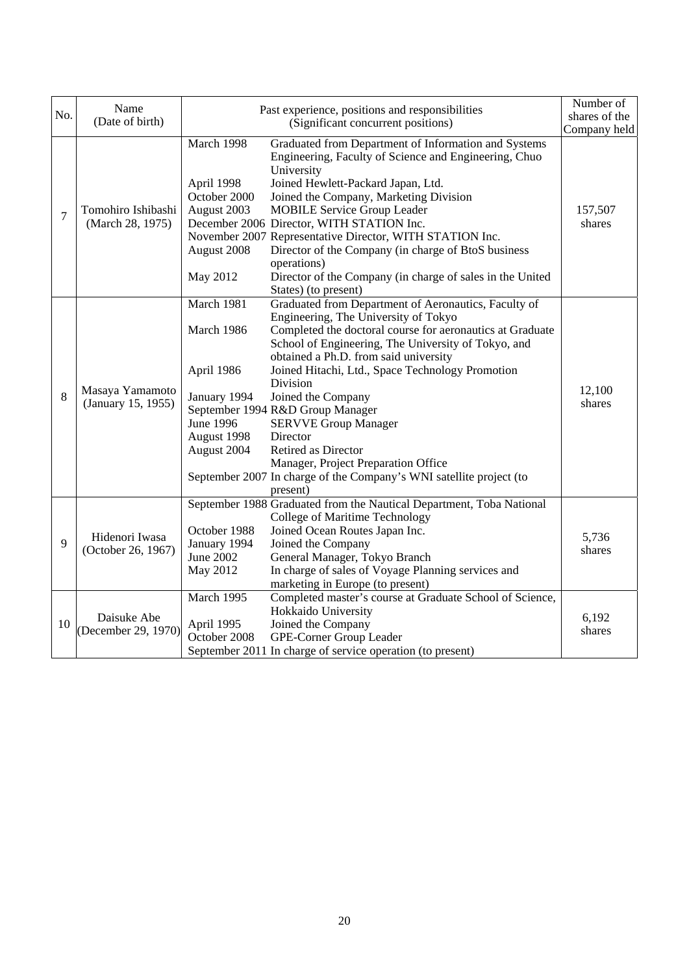|                | Name                                   |                                                                                                                                                                                  | Past experience, positions and responsibilities                                                                                                                                                                                                                                                                                                                                                                                                                                                                       | Number of         |
|----------------|----------------------------------------|----------------------------------------------------------------------------------------------------------------------------------------------------------------------------------|-----------------------------------------------------------------------------------------------------------------------------------------------------------------------------------------------------------------------------------------------------------------------------------------------------------------------------------------------------------------------------------------------------------------------------------------------------------------------------------------------------------------------|-------------------|
| No.            | (Date of birth)                        | (Significant concurrent positions)                                                                                                                                               |                                                                                                                                                                                                                                                                                                                                                                                                                                                                                                                       | shares of the     |
|                |                                        |                                                                                                                                                                                  |                                                                                                                                                                                                                                                                                                                                                                                                                                                                                                                       | Company held      |
| $\overline{7}$ | Tomohiro Ishibashi<br>(March 28, 1975) | March 1998<br>April 1998<br>October 2000<br>August 2003<br>August 2008<br>May 2012                                                                                               | Graduated from Department of Information and Systems<br>Engineering, Faculty of Science and Engineering, Chuo<br>University<br>Joined Hewlett-Packard Japan, Ltd.<br>Joined the Company, Marketing Division<br><b>MOBILE Service Group Leader</b><br>December 2006 Director, WITH STATION Inc.<br>November 2007 Representative Director, WITH STATION Inc.<br>Director of the Company (in charge of BtoS business<br>operations)<br>Director of the Company (in charge of sales in the United<br>States) (to present) | 157,507<br>shares |
| 8              | Masaya Yamamoto<br>(January 15, 1955)  | March 1981<br>March 1986<br>April 1986<br>Division<br>January 1994<br>September 1994 R&D Group Manager<br><b>June 1996</b><br>August 1998<br>Director<br>August 2004<br>present) | Graduated from Department of Aeronautics, Faculty of<br>Engineering, The University of Tokyo<br>Completed the doctoral course for aeronautics at Graduate<br>School of Engineering, The University of Tokyo, and<br>obtained a Ph.D. from said university<br>Joined Hitachi, Ltd., Space Technology Promotion<br>Joined the Company<br><b>SERVVE Group Manager</b><br>Retired as Director<br>Manager, Project Preparation Office<br>September 2007 In charge of the Company's WNI satellite project (to               | 12,100<br>shares  |
| 9              | Hidenori Iwasa<br>(October 26, 1967)   | October 1988<br>January 1994<br>June 2002<br>May 2012                                                                                                                            | September 1988 Graduated from the Nautical Department, Toba National<br>College of Maritime Technology<br>Joined Ocean Routes Japan Inc.<br>Joined the Company<br>General Manager, Tokyo Branch<br>In charge of sales of Voyage Planning services and<br>marketing in Europe (to present)                                                                                                                                                                                                                             | 5,736<br>shares   |
| 10             | Daisuke Abe<br>(December 29, 1970)     | March 1995<br>April 1995<br>October 2008                                                                                                                                         | Completed master's course at Graduate School of Science,<br>Hokkaido University<br>Joined the Company<br>GPE-Corner Group Leader<br>September 2011 In charge of service operation (to present)                                                                                                                                                                                                                                                                                                                        | 6,192<br>shares   |